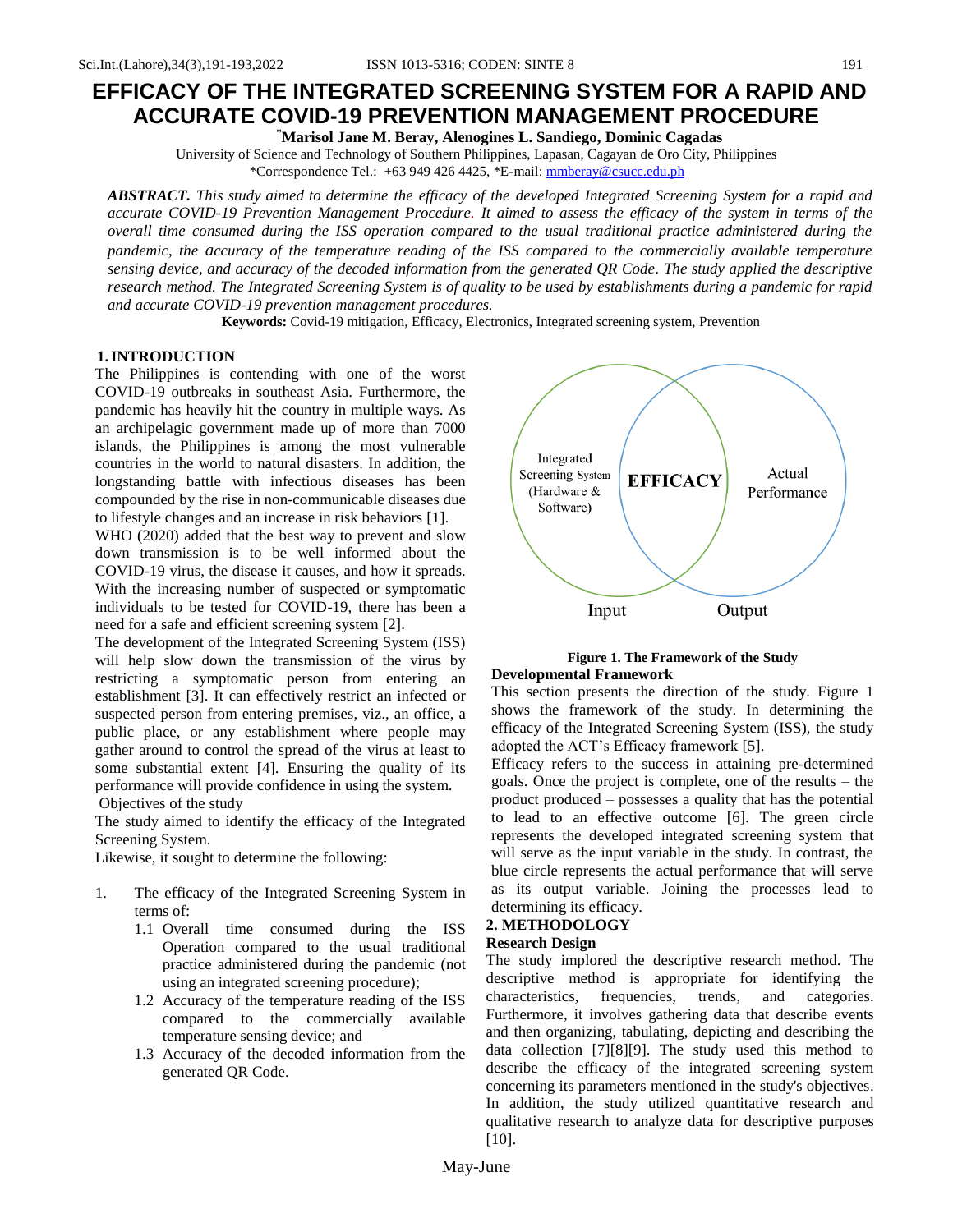# **EFFICACY OF THE INTEGRATED SCREENING SYSTEM FOR A RAPID AND ACCURATE COVID-19 PREVENTION MANAGEMENT PROCEDURE**

**\*Marisol Jane M. Beray, Alenogines L. Sandiego, Dominic Cagadas**

University of Science and Technology of Southern Philippines, Lapasan, Cagayan de Oro City, Philippines \*Correspondence Tel.: +63 949 426 4425, \*E-mail: [mmberay@csucc.edu.ph](about:blank)

*ABSTRACT. This study aimed to determine the efficacy of the developed Integrated Screening System for a rapid and accurate COVID-19 Prevention Management Procedure. It aimed to assess the efficacy of the system in terms of the overall time consumed during the ISS operation compared to the usual traditional practice administered during the pandemic, the accuracy of the temperature reading of the ISS compared to the commercially available temperature sensing device, and accuracy of the decoded information from the generated QR Code. The study applied the descriptive research method. The Integrated Screening System is of quality to be used by establishments during a pandemic for rapid and accurate COVID-19 prevention management procedures.*

**Keywords:** Covid-19 mitigation, Efficacy, Electronics, Integrated screening system, Prevention

#### **1.INTRODUCTION**

The Philippines is contending with one of the worst COVID-19 outbreaks in southeast Asia. Furthermore, the pandemic has heavily hit the country in multiple ways. As an archipelagic government made up of more than 7000 islands, the Philippines is among the most vulnerable countries in the world to natural disasters. In addition, the longstanding battle with infectious diseases has been compounded by the rise in non-communicable diseases due to lifestyle changes and an increase in risk behaviors [1].

WHO (2020) added that the best way to prevent and slow down transmission is to be well informed about the COVID-19 virus, the disease it causes, and how it spreads. With the increasing number of suspected or symptomatic individuals to be tested for COVID-19, there has been a need for a safe and efficient screening system [2].

The development of the Integrated Screening System (ISS) will help slow down the transmission of the virus by restricting a symptomatic person from entering an establishment [3]. It can effectively restrict an infected or suspected person from entering premises, viz., an office, a public place, or any establishment where people may gather around to control the spread of the virus at least to some substantial extent [4]. Ensuring the quality of its performance will provide confidence in using the system. Objectives of the study

The study aimed to identify the efficacy of the Integrated Screening System.

Likewise, it sought to determine the following:

- 1. The efficacy of the Integrated Screening System in terms of:
	- 1.1 Overall time consumed during the ISS Operation compared to the usual traditional practice administered during the pandemic (not using an integrated screening procedure);
	- 1.2 Accuracy of the temperature reading of the ISS compared to the commercially available temperature sensing device; and
	- 1.3 Accuracy of the decoded information from the generated QR Code.



### **Figure 1. The Framework of the Study Developmental Framework**

This section presents the direction of the study. Figure 1 shows the framework of the study. In determining the efficacy of the Integrated Screening System (ISS), the study adopted the ACT's Efficacy framework [5].

Efficacy refers to the success in attaining pre-determined goals. Once the project is complete, one of the results – the product produced – possesses a quality that has the potential to lead to an effective outcome [6]. The green circle represents the developed integrated screening system that will serve as the input variable in the study. In contrast, the blue circle represents the actual performance that will serve as its output variable. Joining the processes lead to determining its efficacy.

# **2. METHODOLOGY**

#### **Research Design**

The study implored the descriptive research method. The descriptive method is appropriate for identifying the characteristics, frequencies, trends, and categories. Furthermore, it involves gathering data that describe events and then organizing, tabulating, depicting and describing the data collection [7][8][9]. The study used this method to describe the efficacy of the integrated screening system concerning its parameters mentioned in the study's objectives. In addition, the study utilized quantitative research and qualitative research to analyze data for descriptive purposes [10].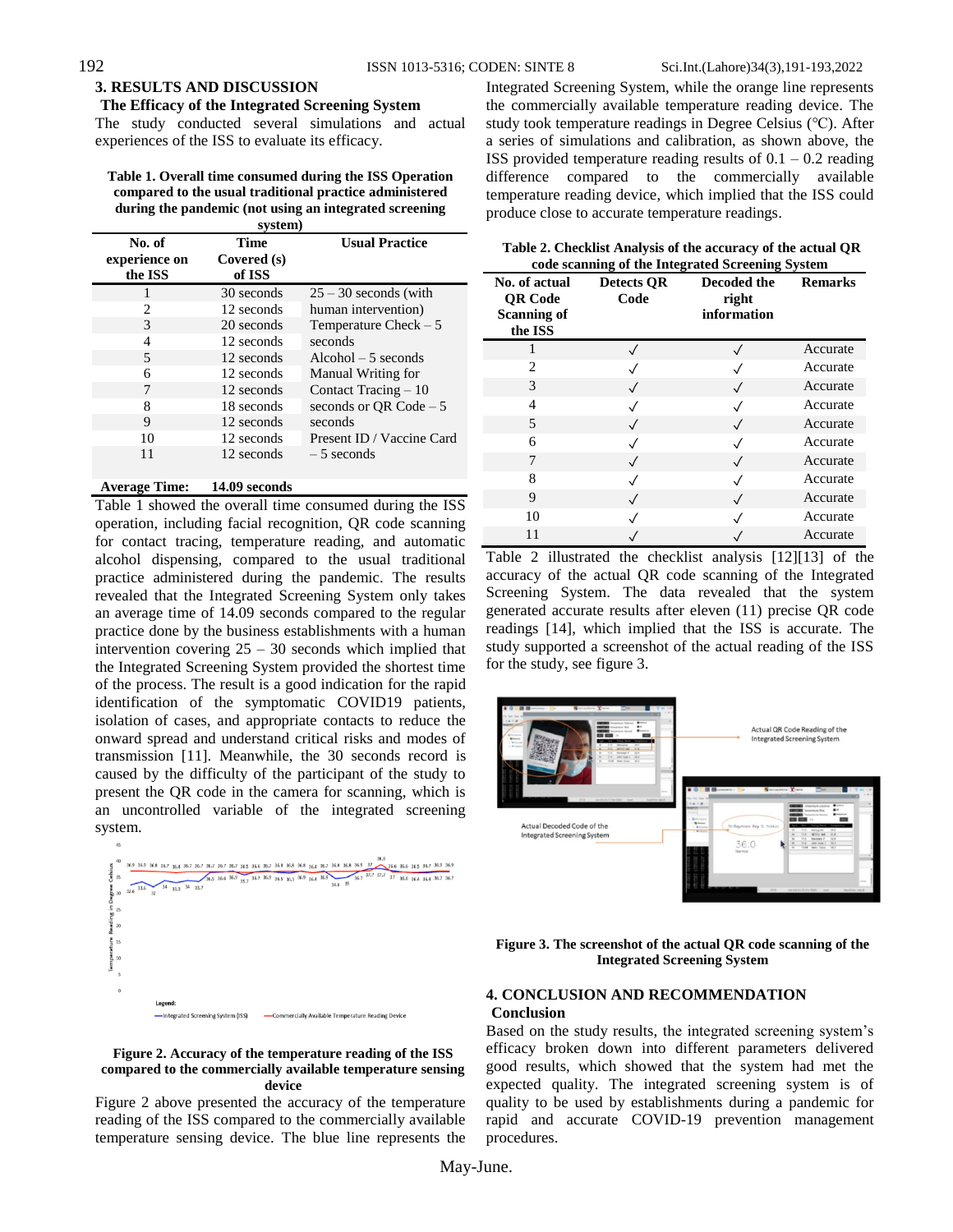# **3. RESULTS AND DISCUSSION**

#### **The Efficacy of the Integrated Screening System**

The study conducted several simulations and actual experiences of the ISS to evaluate its efficacy.

| Table 1. Overall time consumed during the ISS Operation |
|---------------------------------------------------------|
| compared to the usual traditional practice administered |
| during the pandemic (not using an integrated screening  |
| system)                                                 |

|  | No. of<br>experience on<br>the ISS | <b>Time</b><br>Covered (s)<br>of ISS | <b>Usual Practice</b>     |  |  |  |
|--|------------------------------------|--------------------------------------|---------------------------|--|--|--|
|  |                                    | 30 seconds                           | $25 - 30$ seconds (with   |  |  |  |
|  | 2                                  | 12 seconds                           | human intervention)       |  |  |  |
|  | $\mathcal{R}$                      | 20 seconds                           | Temperature Check $-5$    |  |  |  |
|  | 4                                  | 12 seconds                           | seconds                   |  |  |  |
|  | 5                                  | 12 seconds                           | $Alcohol - 5 seconds$     |  |  |  |
|  | 6                                  | 12 seconds                           | Manual Writing for        |  |  |  |
|  | 7                                  | 12 seconds                           | Contact Tracing $-10$     |  |  |  |
|  | 8                                  | 18 seconds                           | seconds or $OR Code - 5$  |  |  |  |
|  | 9                                  | 12 seconds                           | seconds                   |  |  |  |
|  | 10                                 | 12 seconds                           | Present ID / Vaccine Card |  |  |  |
|  | 11                                 | 12 seconds                           | $-5$ seconds              |  |  |  |
|  |                                    |                                      |                           |  |  |  |

#### **Average Time: 14.09 seconds**

Table 1 showed the overall time consumed during the ISS operation, including facial recognition, QR code scanning for contact tracing, temperature reading, and automatic alcohol dispensing, compared to the usual traditional practice administered during the pandemic. The results revealed that the Integrated Screening System only takes an average time of 14.09 seconds compared to the regular practice done by the business establishments with a human intervention covering  $25 - 30$  seconds which implied that the Integrated Screening System provided the shortest time of the process. The result is a good indication for the rapid identification of the symptomatic COVID19 patients, isolation of cases, and appropriate contacts to reduce the onward spread and understand critical risks and modes of transmission [11]. Meanwhile, the 30 seconds record is caused by the difficulty of the participant of the study to present the QR code in the camera for scanning, which is an uncontrolled variable of the integrated screening system.



#### **Figure 2. Accuracy of the temperature reading of the ISS compared to the commercially available temperature sensing device**

Figure 2 above presented the accuracy of the temperature reading of the ISS compared to the commercially available temperature sensing device. The blue line represents the Integrated Screening System, while the orange line represents the commercially available temperature reading device. The study took temperature readings in Degree Celsius (℃). After a series of simulations and calibration, as shown above, the ISS provided temperature reading results of  $0.1 - 0.2$  reading difference compared to the commercially available temperature reading device, which implied that the ISS could produce close to accurate temperature readings.

| Table 2. Checklist Analysis of the accuracy of the actual QR |
|--------------------------------------------------------------|
| code scanning of the Integrated Screening System             |

| No. of actual<br><b>QR</b> Code<br><b>Scanning of</b><br>the ISS | $\rightarrow$<br>ರ<br><b>Detects QR</b><br>Code | Decoded the<br>right<br>information | ెలా<br><b>Remarks</b> |
|------------------------------------------------------------------|-------------------------------------------------|-------------------------------------|-----------------------|
|                                                                  |                                                 | $\checkmark$                        | Accurate              |
| 2                                                                |                                                 |                                     | Accurate              |
| 3                                                                | $\checkmark$                                    | $\checkmark$                        | Accurate              |
| $\overline{4}$                                                   |                                                 | $\checkmark$                        | Accurate              |
| 5                                                                | $\sqrt{}$                                       | $\checkmark$                        | Accurate              |
| 6                                                                |                                                 | $\checkmark$                        | Accurate              |
| 7                                                                | $\checkmark$                                    | $\checkmark$                        | Accurate              |
| 8                                                                |                                                 | $\checkmark$                        | Accurate              |
| 9                                                                | $\checkmark$                                    | $\checkmark$                        | Accurate              |
| 10                                                               |                                                 |                                     | Accurate              |
| 11                                                               |                                                 |                                     | Accurate              |

Table 2 illustrated the checklist analysis [12][13] of the accuracy of the actual QR code scanning of the Integrated Screening System. The data revealed that the system generated accurate results after eleven (11) precise QR code readings [14], which implied that the ISS is accurate. The study supported a screenshot of the actual reading of the ISS for the study, see figure 3.



**Figure 3. The screenshot of the actual QR code scanning of the Integrated Screening System**

## **4. CONCLUSION AND RECOMMENDATION Conclusion**

Based on the study results, the integrated screening system's efficacy broken down into different parameters delivered good results, which showed that the system had met the expected quality. The integrated screening system is of quality to be used by establishments during a pandemic for rapid and accurate COVID-19 prevention management procedures.